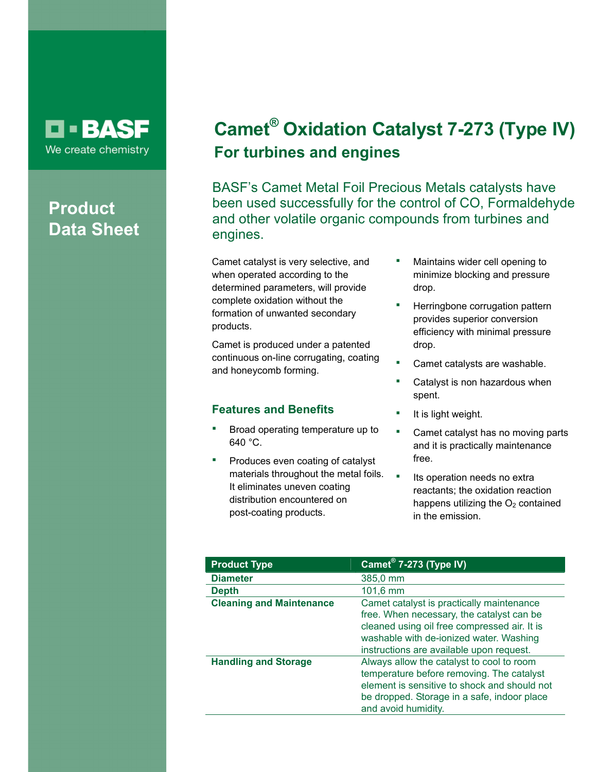## **D-BASF** We create chemistry

# **Product Data Sheet**

# **Camet® Oxidation Catalyst 7-273 (Type IV) For turbines and engines**

BASF's Camet Metal Foil Precious Metals catalysts have been used successfully for the control of CO, Formaldehyde and other volatile organic compounds from turbines and engines.

Camet catalyst is very selective, and when operated according to the determined parameters, will provide complete oxidation without the formation of unwanted secondary products.

Camet is produced under a patented continuous on-line corrugating, coating and honeycomb forming.

## **Features and Benefits**

- Broad operating temperature up to 640 °C.
- Produces even coating of catalyst materials throughout the metal foils. It eliminates uneven coating distribution encountered on post-coating products.
- Maintains wider cell opening to minimize blocking and pressure drop.
- Herringbone corrugation pattern provides superior conversion efficiency with minimal pressure drop.
- Camet catalysts are washable.
- Catalyst is non hazardous when spent.
- It is light weight.
- **•** Camet catalyst has no moving parts and it is practically maintenance free.
- **Its operation needs no extral** reactants; the oxidation reaction happens utilizing the  $O<sub>2</sub>$  contained in the emission.

| <b>Product Type</b>             | Camet <sup>®</sup> 7-273 (Type IV)                                                                                                                                                                                            |
|---------------------------------|-------------------------------------------------------------------------------------------------------------------------------------------------------------------------------------------------------------------------------|
| <b>Diameter</b>                 | 385,0 mm                                                                                                                                                                                                                      |
| <b>Depth</b>                    | $101,6 \, \text{mm}$                                                                                                                                                                                                          |
| <b>Cleaning and Maintenance</b> | Camet catalyst is practically maintenance<br>free. When necessary, the catalyst can be<br>cleaned using oil free compressed air. It is<br>washable with de-ionized water. Washing<br>instructions are available upon request. |
| <b>Handling and Storage</b>     | Always allow the catalyst to cool to room<br>temperature before removing. The catalyst<br>element is sensitive to shock and should not<br>be dropped. Storage in a safe, indoor place<br>and avoid humidity.                  |